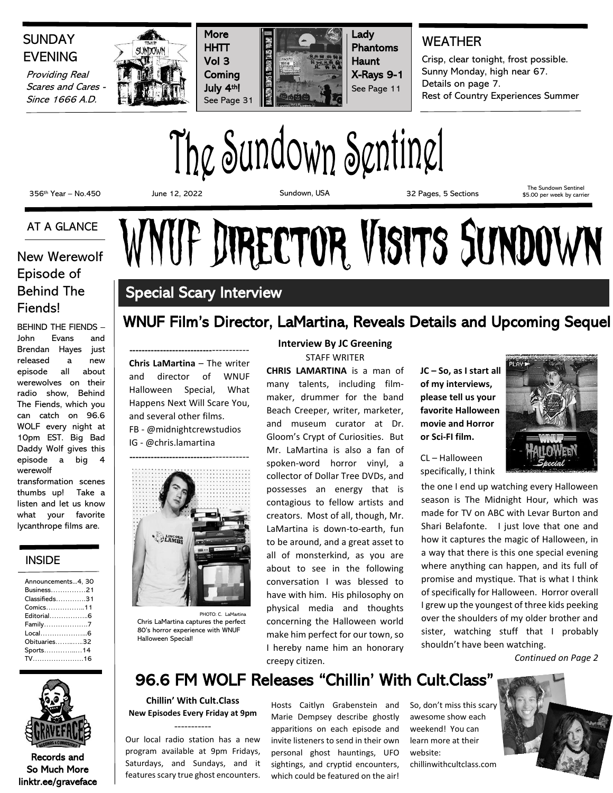# **SUNDAY** EVENING

Providing Real Scares and Cares - Since 1666 A.D.







## WEATHER

Crisp, clear tonight, frost possible. Sunny Monday, high near 67. Details on page 7. Rest of Country Experiences Summer

The Sundown Sentinel

356th Year – No.450 June 12, 2022 Sundown, USA 32 Pages, 5 Sections

The Sundown Sentinel \$5.00 per week by carrier

### AT A GLANCE

# Episode of Behind The Fiends!

BEHIND THE FIENDS – John Evans and Brendan Hayes just released a new episode all about werewolves on their radio show, Behind The Fiends, which you can catch on 96.6 WOLF every night at 10pm EST. Big Bad Daddy Wolf gives this episode a big 4 werewolf

transformation scenes thumbs up! Take a listen and let us know what your favorite lycanthrope films are.

#### INSIDE

| Announcements4, 30        |
|---------------------------|
| Business21                |
| $Classified 5. \ldots 31$ |
| Comics11                  |
| Editorial6                |
| Family7                   |
| Local6                    |
| Obituaries32              |
| Sports14                  |
|                           |



Records and So Much More linktr.ee/graveface

# AT A GLANCE WNUF DIRECTOR VISITS SUNDOWN

# Special Scary Interview

## WNUF Film's Director, LaMartina, Reveals Details and Upcoming Sequel

**---------------------------**----------- **Chris LaMartina** – The writer and director of WNUF Halloween Special, What Happens Next Will Scare You, and several other films. FB - @midnightcrewstudios IG - @chris.lamartina



PHOTO: C. LaMartina Chris LaMartina captures the perfect 80's horror experience with WNUF Halloween Special!

#### **Interview By JC Greening** STAFF WRITER

**CHRIS LAMARTINA** is a man of many talents, including filmmaker, drummer for the band Beach Creeper, writer, marketer, and museum curator at Dr. Gloom's Crypt of Curiosities. But Mr. LaMartina is also a fan of spoken-word horror vinyl, a collector of Dollar Tree DVDs, and possesses an energy that is contagious to fellow artists and creators. Most of all, though, Mr. LaMartina is down-to-earth, fun to be around, and a great asset to all of monsterkind, as you are about to see in the following conversation I was blessed to have with him. His philosophy on physical media and thoughts concerning the Halloween world make him perfect for our town, so I hereby name him an honorary creepy citizen.

**JC – So, as I start all of my interviews, please tell us your favorite Halloween movie and Horror or Sci-FI film.** 

CL – Halloween specifically, I think



where anything can happen, and its full of promise and mystique. That is what I think of specifically for Halloween. Horror overall I grew up the youngest of three kids peeking over the shoulders of my older brother and sister, watching stuff that I probably shouldn't have been watching.

*Continued on Page 2*

# 96.6 FM WOLF Releases "Chillin' With Cult.Class"

**Chillin' With Cult.Class New Episodes Every Friday at 9pm**  -----------

Our local radio station has a new program available at 9pm Fridays, Saturdays, and Sundays, and it features scary true ghost encounters. Hosts Caitlyn Grabenstein and Marie Dempsey describe ghostly apparitions on each episode and invite listeners to send in their own personal ghost hauntings, UFO sightings, and cryptid encounters, which could be featured on the air!

So, don't miss this scary awesome show each weekend! You can learn more at their website:

chillinwithcultclass.com

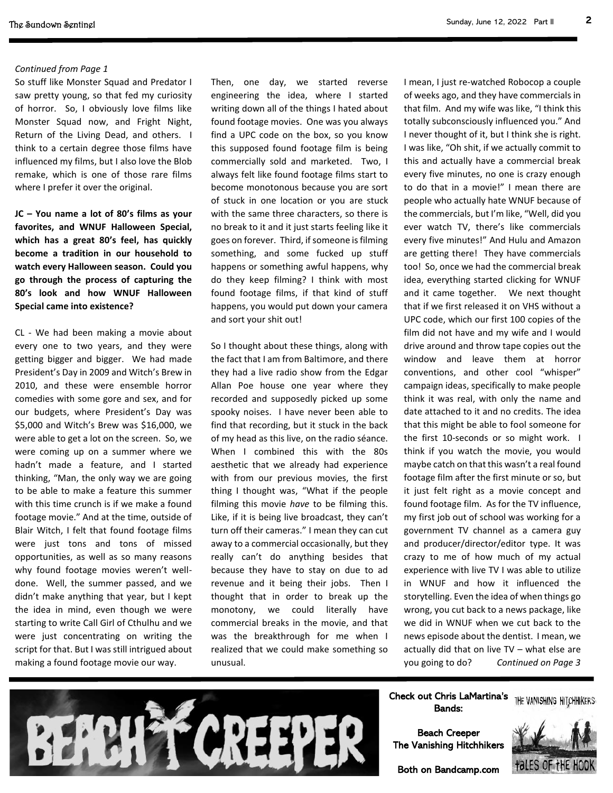#### *Continued from Page 1*

So stuff like Monster Squad and Predator I saw pretty young, so that fed my curiosity of horror. So, I obviously love films like Monster Squad now, and Fright Night, Return of the Living Dead, and others. I think to a certain degree those films have influenced my films, but I also love the Blob remake, which is one of those rare films where I prefer it over the original.

**JC – You name a lot of 80's films as your favorites, and WNUF Halloween Special, which has a great 80's feel, has quickly become a tradition in our household to watch every Halloween season. Could you go through the process of capturing the 80's look and how WNUF Halloween Special came into existence?**

CL - We had been making a movie about every one to two years, and they were getting bigger and bigger. We had made President's Day in 2009 and Witch's Brew in 2010, and these were ensemble horror comedies with some gore and sex, and for our budgets, where President's Day was \$5,000 and Witch's Brew was \$16,000, we were able to get a lot on the screen. So, we were coming up on a summer where we hadn't made a feature, and I started thinking, "Man, the only way we are going to be able to make a feature this summer with this time crunch is if we make a found footage movie." And at the time, outside of Blair Witch, I felt that found footage films were just tons and tons of missed opportunities, as well as so many reasons why found footage movies weren't welldone. Well, the summer passed, and we didn't make anything that year, but I kept the idea in mind, even though we were starting to write Call Girl of Cthulhu and we were just concentrating on writing the script for that. But I was still intrigued about making a found footage movie our way.

Then, one day, we started reverse engineering the idea, where I started writing down all of the things I hated about found footage movies. One was you always find a UPC code on the box, so you know this supposed found footage film is being commercially sold and marketed. Two, I always felt like found footage films start to become monotonous because you are sort of stuck in one location or you are stuck with the same three characters, so there is no break to it and it just starts feeling like it goes on forever. Third, if someone is filming something, and some fucked up stuff happens or something awful happens, why do they keep filming? I think with most found footage films, if that kind of stuff happens, you would put down your camera and sort your shit out!

So I thought about these things, along with the fact that I am from Baltimore, and there they had a live radio show from the Edgar Allan Poe house one year where they recorded and supposedly picked up some spooky noises. I have never been able to find that recording, but it stuck in the back of my head as this live, on the radio séance. When I combined this with the 80s aesthetic that we already had experience with from our previous movies, the first thing I thought was, "What if the people filming this movie *have* to be filming this. Like, if it is being live broadcast, they can't turn off their cameras." I mean they can cut away to a commercial occasionally, but they really can't do anything besides that because they have to stay on due to ad revenue and it being their jobs. Then I thought that in order to break up the monotony, we could literally have commercial breaks in the movie, and that was the breakthrough for me when I realized that we could make something so unusual.

I mean, I just re-watched Robocop a couple of weeks ago, and they have commercials in that film. And my wife was like, "I think this totally subconsciously influenced you." And I never thought of it, but I think she is right. I was like, "Oh shit, if we actually commit to this and actually have a commercial break every five minutes, no one is crazy enough to do that in a movie!" I mean there are people who actually hate WNUF because of the commercials, but I'm like, "Well, did you ever watch TV, there's like commercials every five minutes!" And Hulu and Amazon are getting there! They have commercials too! So, once we had the commercial break idea, everything started clicking for WNUF and it came together. We next thought that if we first released it on VHS without a UPC code, which our first 100 copies of the film did not have and my wife and I would drive around and throw tape copies out the window and leave them at horror conventions, and other cool "whisper" campaign ideas, specifically to make people think it was real, with only the name and date attached to it and no credits. The idea that this might be able to fool someone for the first 10-seconds or so might work. I think if you watch the movie, you would maybe catch on that this wasn't a real found footage film after the first minute or so, but it just felt right as a movie concept and found footage film. As for the TV influence, my first job out of school was working for a government TV channel as a camera guy and producer/director/editor type. It was crazy to me of how much of my actual experience with live TV I was able to utilize in WNUF and how it influenced the storytelling. Even the idea of when things go wrong, you cut back to a news package, like we did in WNUF when we cut back to the news episode about the dentist. I mean, we actually did that on live TV – what else are you going to do? *Continued on Page 3*



#### Check out Chris LaMartina's THE VANISHING HITCHHIKERS Bands:

Beach Creeper The Vanishing Hitchhikers



Both on Bandcamp.com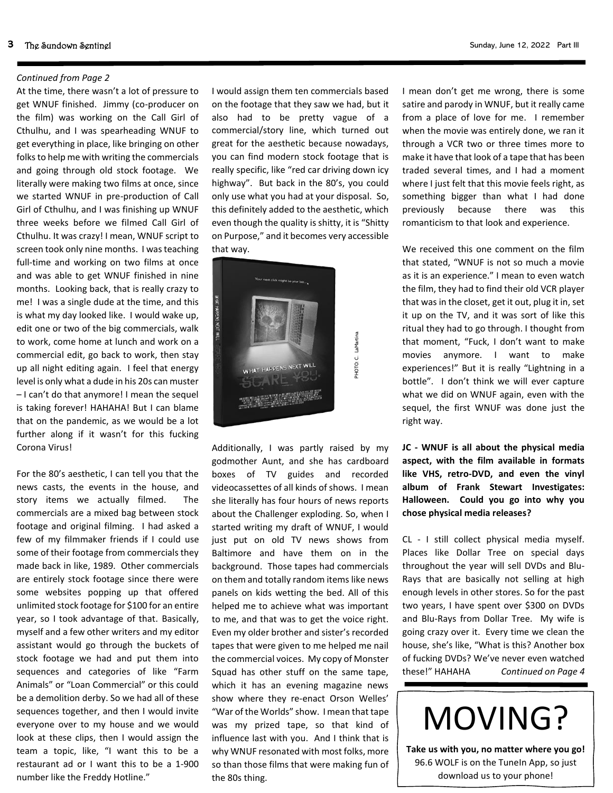#### *Continued from Page 2*

At the time, there wasn't a lot of pressure to get WNUF finished. Jimmy (co-producer on the film) was working on the Call Girl of Cthulhu, and I was spearheading WNUF to get everything in place, like bringing on other folks to help me with writing the commercials and going through old stock footage. We literally were making two films at once, since we started WNUF in pre-production of Call Girl of Cthulhu, and I was finishing up WNUF three weeks before we filmed Call Girl of Cthulhu. It was crazy! I mean, WNUF script to screen took only nine months. I was teaching full-time and working on two films at once and was able to get WNUF finished in nine months. Looking back, that is really crazy to me! I was a single dude at the time, and this is what my day looked like. I would wake up, edit one or two of the big commercials, walk to work, come home at lunch and work on a commercial edit, go back to work, then stay up all night editing again. I feel that energy level is only what a dude in his 20s can muster – I can't do that anymore! I mean the sequel is taking forever! HAHAHA! But I can blame that on the pandemic, as we would be a lot further along if it wasn't for this fucking Corona Virus!

For the 80's aesthetic, I can tell you that the news casts, the events in the house, and story items we actually filmed. The commercials are a mixed bag between stock footage and original filming. I had asked a few of my filmmaker friends if I could use some of their footage from commercials they made back in like, 1989. Other commercials are entirely stock footage since there were some websites popping up that offered unlimited stock footage for \$100 for an entire year, so I took advantage of that. Basically, myself and a few other writers and my editor assistant would go through the buckets of stock footage we had and put them into sequences and categories of like "Farm Animals" or "Loan Commercial" or this could be a demolition derby. So we had all of these sequences together, and then I would invite everyone over to my house and we would look at these clips, then I would assign the team a topic, like, "I want this to be a restaurant ad or I want this to be a 1-900 number like the Freddy Hotline."

I would assign them ten commercials based on the footage that they saw we had, but it also had to be pretty vague of a commercial/story line, which turned out great for the aesthetic because nowadays, you can find modern stock footage that is really specific, like "red car driving down icy highway". But back in the 80's, you could only use what you had at your disposal. So, this definitely added to the aesthetic, which even though the quality is shitty, it is "Shitty on Purpose," and it becomes very accessible that way.



PHOTO: C. LaMartina

**HOTO: C. LaMartina** 

Additionally, I was partly raised by my godmother Aunt, and she has cardboard boxes of TV guides and recorded videocassettes of all kinds of shows. I mean she literally has four hours of news reports about the Challenger exploding. So, when I started writing my draft of WNUF, I would just put on old TV news shows from Baltimore and have them on in the background. Those tapes had commercials on them and totally random items like news panels on kids wetting the bed. All of this helped me to achieve what was important to me, and that was to get the voice right. Even my older brother and sister's recorded tapes that were given to me helped me nail the commercial voices. My copy of Monster Squad has other stuff on the same tape, which it has an evening magazine news show where they re-enact Orson Welles' "War of the Worlds" show. I mean that tape was my prized tape, so that kind of influence last with you. And I think that is why WNUF resonated with most folks, more so than those films that were making fun of the 80s thing.

I mean don't get me wrong, there is some satire and parody in WNUF, but it really came from a place of love for me. I remember when the movie was entirely done, we ran it through a VCR two or three times more to make it have that look of a tape that has been traded several times, and I had a moment where I just felt that this movie feels right, as something bigger than what I had done previously because there was this romanticism to that look and experience.

We received this one comment on the film that stated, "WNUF is not so much a movie as it is an experience." I mean to even watch the film, they had to find their old VCR player that was in the closet, get it out, plug it in, set it up on the TV, and it was sort of like this ritual they had to go through. I thought from that moment, "Fuck, I don't want to make movies anymore. I want to make experiences!" But it is really "Lightning in a bottle". I don't think we will ever capture what we did on WNUF again, even with the sequel, the first WNUF was done just the right way.

**JC - WNUF is all about the physical media aspect, with the film available in formats like VHS, retro-DVD, and even the vinyl album of Frank Stewart Investigates: Halloween. Could you go into why you chose physical media releases?**

CL - I still collect physical media myself. Places like Dollar Tree on special days throughout the year will sell DVDs and Blu-Rays that are basically not selling at high enough levels in other stores. So for the past two years, I have spent over \$300 on DVDs and Blu-Rays from Dollar Tree. My wife is going crazy over it. Every time we clean the house, she's like, "What is this? Another box of fucking DVDs? We've never even watched these!" HAHAHA *Continued on Page 4*



**Take us with you, no matter where you go!** 96.6 WOLF is on the TuneIn App, so just download us to your phone!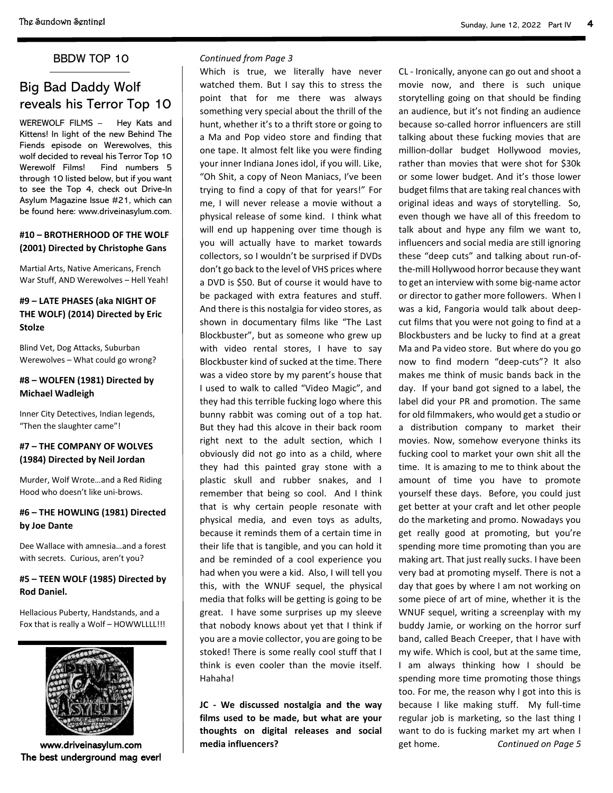#### BBDW TOP 10

# Big Bad Daddy Wolf reveals his Terror Top 10

WEREWOLF FILMS – Hey Kats and Kittens! In light of the new Behind The Fiends episode on Werewolves, this wolf decided to reveal his Terror Top 10 Werewolf Films! Find numbers 5 through 10 listed below, but if you want to see the Top 4, check out Drive-In Asylum Magazine Issue #21, which can be found here: www.driveinasylum.com.

#### **#10 – BROTHERHOOD OF THE WOLF (2001) Directed by Christophe Gans**

Martial Arts, Native Americans, French War Stuff, AND Werewolves – Hell Yeah!

#### **#9 – LATE PHASES (aka NIGHT OF THE WOLF) (2014) Directed by Eric Stolze**

Blind Vet, Dog Attacks, Suburban Werewolves – What could go wrong?

#### **#8 – WOLFEN (1981) Directed by Michael Wadleigh**

Inner City Detectives, Indian legends, "Then the slaughter came"!

#### **#7 – THE COMPANY OF WOLVES (1984) Directed by Neil Jordan**

Murder, Wolf Wrote…and a Red Riding Hood who doesn't like uni-brows.

#### **#6 – THE HOWLING (1981) Directed by Joe Dante**

Dee Wallace with amnesia…and a forest with secrets. Curious, aren't you?

#### **#5 – TEEN WOLF (1985) Directed by Rod Daniel.**

Hellacious Puberty, Handstands, and a Fox that is really a Wolf - HOWWLLLL!!!



www.driveinasylum.com The best underground mag ever!

#### *Continued from Page 3*

Which is true, we literally have never watched them. But I say this to stress the point that for me there was always something very special about the thrill of the hunt, whether it's to a thrift store or going to a Ma and Pop video store and finding that one tape. It almost felt like you were finding your inner Indiana Jones idol, if you will. Like, "Oh Shit, a copy of Neon Maniacs, I've been trying to find a copy of that for years!" For me, I will never release a movie without a physical release of some kind. I think what will end up happening over time though is you will actually have to market towards collectors, so I wouldn't be surprised if DVDs don't go back to the level of VHS prices where a DVD is \$50. But of course it would have to be packaged with extra features and stuff. And there is this nostalgia for video stores, as shown in documentary films like "The Last Blockbuster", but as someone who grew up with video rental stores, I have to say Blockbuster kind of sucked at the time. There was a video store by my parent's house that I used to walk to called "Video Magic", and they had this terrible fucking logo where this bunny rabbit was coming out of a top hat. But they had this alcove in their back room right next to the adult section, which I obviously did not go into as a child, where they had this painted gray stone with a plastic skull and rubber snakes, and I remember that being so cool. And I think that is why certain people resonate with physical media, and even toys as adults, because it reminds them of a certain time in their life that is tangible, and you can hold it and be reminded of a cool experience you had when you were a kid. Also, I will tell you this, with the WNUF sequel, the physical media that folks will be getting is going to be great. I have some surprises up my sleeve that nobody knows about yet that I think if you are a movie collector, you are going to be stoked! There is some really cool stuff that I think is even cooler than the movie itself. Hahaha!

**JC - We discussed nostalgia and the way films used to be made, but what are your thoughts on digital releases and social media influencers?**

CL - Ironically, anyone can go out and shoot a movie now, and there is such unique storytelling going on that should be finding an audience, but it's not finding an audience because so-called horror influencers are still talking about these fucking movies that are million-dollar budget Hollywood movies, rather than movies that were shot for \$30k or some lower budget. And it's those lower budget films that are taking real chances with original ideas and ways of storytelling. So, even though we have all of this freedom to talk about and hype any film we want to, influencers and social media are still ignoring these "deep cuts" and talking about run-ofthe-mill Hollywood horror because they want to get an interview with some big-name actor or director to gather more followers. When I was a kid, Fangoria would talk about deepcut films that you were not going to find at a Blockbusters and be lucky to find at a great Ma and Pa video store. But where do you go now to find modern "deep-cuts"? It also makes me think of music bands back in the day. If your band got signed to a label, the label did your PR and promotion. The same for old filmmakers, who would get a studio or a distribution company to market their movies. Now, somehow everyone thinks its fucking cool to market your own shit all the time. It is amazing to me to think about the amount of time you have to promote yourself these days. Before, you could just get better at your craft and let other people do the marketing and promo. Nowadays you get really good at promoting, but you're spending more time promoting than you are making art. That just really sucks. I have been very bad at promoting myself. There is not a day that goes by where I am not working on some piece of art of mine, whether it is the WNUF sequel, writing a screenplay with my buddy Jamie, or working on the horror surf band, called Beach Creeper, that I have with my wife. Which is cool, but at the same time, I am always thinking how I should be spending more time promoting those things too. For me, the reason why I got into this is because I like making stuff. My full-time regular job is marketing, so the last thing I want to do is fucking market my art when I get home. *Continued on Page 5*